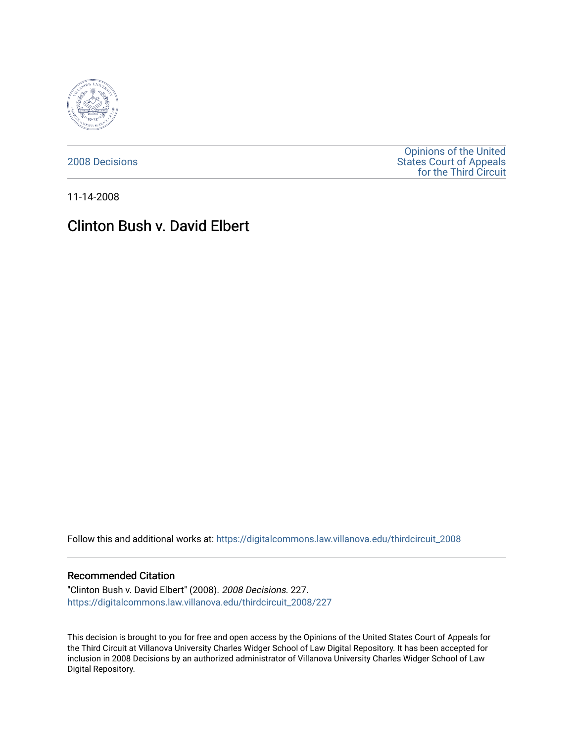

[2008 Decisions](https://digitalcommons.law.villanova.edu/thirdcircuit_2008)

[Opinions of the United](https://digitalcommons.law.villanova.edu/thirdcircuit)  [States Court of Appeals](https://digitalcommons.law.villanova.edu/thirdcircuit)  [for the Third Circuit](https://digitalcommons.law.villanova.edu/thirdcircuit) 

11-14-2008

# Clinton Bush v. David Elbert

Follow this and additional works at: [https://digitalcommons.law.villanova.edu/thirdcircuit\\_2008](https://digitalcommons.law.villanova.edu/thirdcircuit_2008?utm_source=digitalcommons.law.villanova.edu%2Fthirdcircuit_2008%2F227&utm_medium=PDF&utm_campaign=PDFCoverPages) 

### Recommended Citation

"Clinton Bush v. David Elbert" (2008). 2008 Decisions. 227. [https://digitalcommons.law.villanova.edu/thirdcircuit\\_2008/227](https://digitalcommons.law.villanova.edu/thirdcircuit_2008/227?utm_source=digitalcommons.law.villanova.edu%2Fthirdcircuit_2008%2F227&utm_medium=PDF&utm_campaign=PDFCoverPages)

This decision is brought to you for free and open access by the Opinions of the United States Court of Appeals for the Third Circuit at Villanova University Charles Widger School of Law Digital Repository. It has been accepted for inclusion in 2008 Decisions by an authorized administrator of Villanova University Charles Widger School of Law Digital Repository.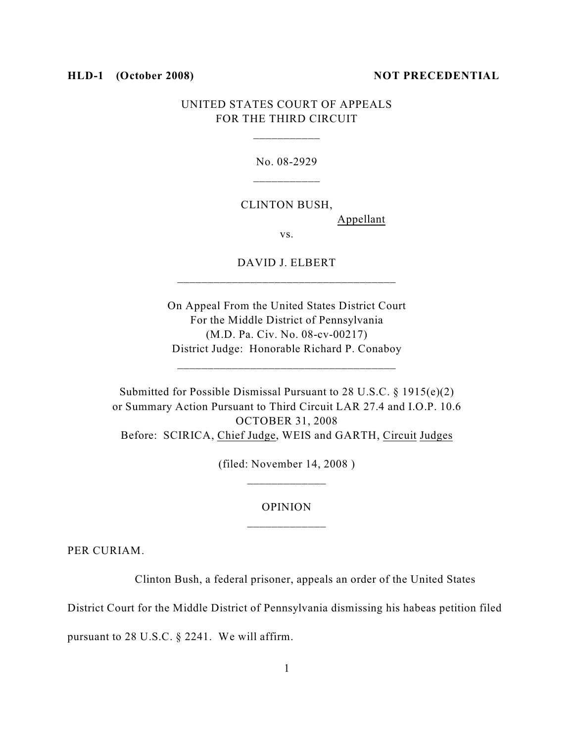#### **HLD-1** (October 2008) NOT PRECEDENTIAL

## UNITED STATES COURT OF APPEALS FOR THE THIRD CIRCUIT

No. 08-2929 \_\_\_\_\_\_\_\_\_\_\_

CLINTON BUSH,

Appellant

vs.

DAVID J. ELBERT \_\_\_\_\_\_\_\_\_\_\_\_\_\_\_\_\_\_\_\_\_\_\_\_\_\_\_\_\_\_\_\_\_\_\_\_

On Appeal From the United States District Court For the Middle District of Pennsylvania (M.D. Pa. Civ. No. 08-cv-00217) District Judge: Honorable Richard P. Conaboy

\_\_\_\_\_\_\_\_\_\_\_\_\_\_\_\_\_\_\_\_\_\_\_\_\_\_\_\_\_\_\_\_\_\_\_\_

Submitted for Possible Dismissal Pursuant to 28 U.S.C. § 1915(e)(2) or Summary Action Pursuant to Third Circuit LAR 27.4 and I.O.P. 10.6 OCTOBER 31, 2008 Before: SCIRICA, Chief Judge, WEIS and GARTH, Circuit Judges

> (filed: November 14, 2008 ) \_\_\_\_\_\_\_\_\_\_\_\_\_

# OPINION \_\_\_\_\_\_\_\_\_\_\_\_\_

PER CURIAM.

Clinton Bush, a federal prisoner, appeals an order of the United States

District Court for the Middle District of Pennsylvania dismissing his habeas petition filed

pursuant to 28 U.S.C. § 2241. We will affirm.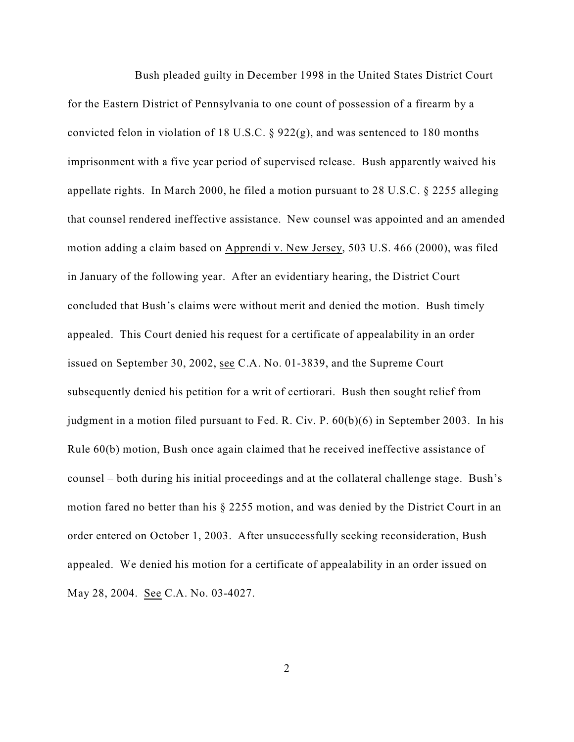Bush pleaded guilty in December 1998 in the United States District Court for the Eastern District of Pennsylvania to one count of possession of a firearm by a convicted felon in violation of 18 U.S.C. § 922(g), and was sentenced to 180 months imprisonment with a five year period of supervised release. Bush apparently waived his appellate rights. In March 2000, he filed a motion pursuant to 28 U.S.C. § 2255 alleging that counsel rendered ineffective assistance. New counsel was appointed and an amended motion adding a claim based on Apprendi v. New Jersey, 503 U.S. 466 (2000), was filed in January of the following year. After an evidentiary hearing, the District Court concluded that Bush's claims were without merit and denied the motion. Bush timely appealed. This Court denied his request for a certificate of appealability in an order issued on September 30, 2002, see C.A. No. 01-3839, and the Supreme Court subsequently denied his petition for a writ of certiorari. Bush then sought relief from judgment in a motion filed pursuant to Fed. R. Civ. P. 60(b)(6) in September 2003. In his Rule 60(b) motion, Bush once again claimed that he received ineffective assistance of counsel – both during his initial proceedings and at the collateral challenge stage. Bush's motion fared no better than his § 2255 motion, and was denied by the District Court in an order entered on October 1, 2003. After unsuccessfully seeking reconsideration, Bush appealed. We denied his motion for a certificate of appealability in an order issued on May 28, 2004. See C.A. No. 03-4027.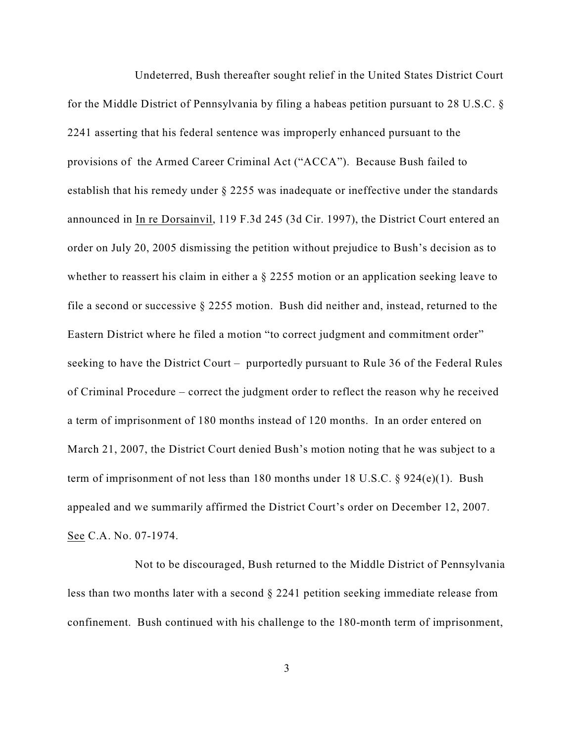Undeterred, Bush thereafter sought relief in the United States District Court for the Middle District of Pennsylvania by filing a habeas petition pursuant to 28 U.S.C. § 2241 asserting that his federal sentence was improperly enhanced pursuant to the provisions of the Armed Career Criminal Act ("ACCA"). Because Bush failed to establish that his remedy under § 2255 was inadequate or ineffective under the standards announced in In re Dorsainvil, 119 F.3d 245 (3d Cir. 1997), the District Court entered an order on July 20, 2005 dismissing the petition without prejudice to Bush's decision as to whether to reassert his claim in either a  $\S 2255$  motion or an application seeking leave to file a second or successive § 2255 motion. Bush did neither and, instead, returned to the Eastern District where he filed a motion "to correct judgment and commitment order" seeking to have the District Court – purportedly pursuant to Rule 36 of the Federal Rules of Criminal Procedure – correct the judgment order to reflect the reason why he received a term of imprisonment of 180 months instead of 120 months. In an order entered on March 21, 2007, the District Court denied Bush's motion noting that he was subject to a term of imprisonment of not less than 180 months under 18 U.S.C. § 924(e)(1). Bush appealed and we summarily affirmed the District Court's order on December 12, 2007. See C.A. No. 07-1974.

Not to be discouraged, Bush returned to the Middle District of Pennsylvania less than two months later with a second § 2241 petition seeking immediate release from confinement. Bush continued with his challenge to the 180-month term of imprisonment,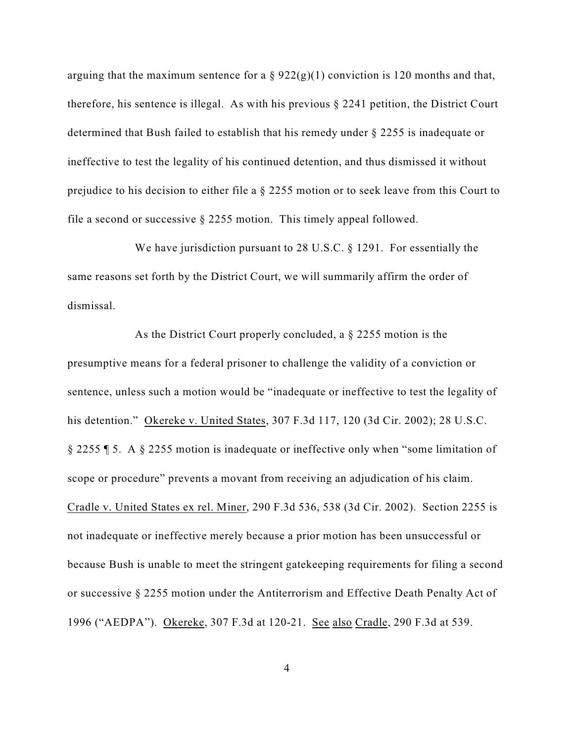arguing that the maximum sentence for a  $\S 922(g)(1)$  conviction is 120 months and that, therefore, his sentence is illegal. As with his previous  $\S 2241$  petition, the District Court determined that Bush failed to establish that his remedy under § 2255 is inadequate or ineffective to test the legality of his continued detention, and thus dismissed it without prejudice to his decision to either file a § 2255 motion or to seek leave from this Court to file a second or successive  $\S 2255$  motion. This timely appeal followed.

We have jurisdiction pursuant to 28 U.S.C. § 1291. For essentially the same reasons set forth by the District Court, we will summarily affirm the order of dismissal.

As the District Court properly concluded, a § 2255 motion is the presumptive means for a federal prisoner to challenge the validity of a conviction or sentence, unless such a motion would be "inadequate or ineffective to test the legality of his detention." Okereke v. United States, 307 F.3d 117, 120 (3d Cir. 2002); 28 U.S.C. § 2255 ¶ 5. A § 2255 motion is inadequate or ineffective only when "some limitation of scope or procedure" prevents a movant from receiving an adjudication of his claim. Cradle v. United States ex rel. Miner, 290 F.3d 536, 538 (3d Cir. 2002). Section 2255 is not inadequate or ineffective merely because a prior motion has been unsuccessful or because Bush is unable to meet the stringent gatekeeping requirements for filing a second or successive § 2255 motion under the Antiterrorism and Effective Death Penalty Act of 1996 ("AEDPA"). Okereke, 307 F.3d at 120-21. See also Cradle, 290 F.3d at 539.